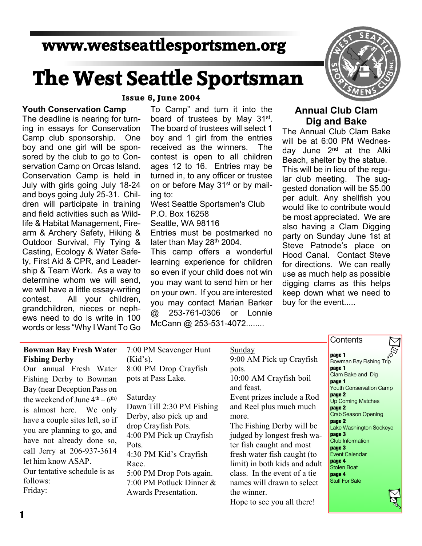# **www.westseattlesportsmen.org**

# **The West Seattle Sportsman**

#### **Youth Conservation Camp**

The deadline is nearing for turn ing in essays for Conservation Camp club sponsorship. One boy and one girl will be spon sored by the club to go to Con servation Camp on Orcas Island. Conservation Camp is held in July with girls going July 18-24 and boys going July 25-31. Chil dren will participate in training and field activities such as Wild life & Habitat Management, Fire arm & Archery Safety, Hiking & Outdoor Survival, Fly Tying & Casting, Ecology & Water Safe ty, First Aid & CPR, and Leader ship & Team Work. As a way to determine whom we will send, we will have a little essay-writing contest. All your children, grandchildren, nieces or neph ews need to do is write in 100 words or less "Why I Want To Go

#### **Issue 6, June 2004**

To Camp" and turn it into the board of trustees by May 31<sup>st</sup>. The board of trustees will select 1 boy and 1 girl from the entries received as the winners. The contest is open to all children ages 12 to 16. Entries may be turned in, to any officer or trustee on or before May 31<sup>st</sup> or by mailing to:

West Seattle Sportsmen's Club P.O. Box 16258

Seattle, WA 98116

Entries must be postmarked no later than May 28<sup>th</sup> 2004.

This camp offers a wonderful learning experience for children so even if your child does not win you may want to send him or her on your own. If you are interested you may contact Marian Barker @ 253-761-0306 or Lonnie McCann @ 253-531-4072........



## **Annual Club Clam Dig and Bake**

The Annual Club Clam Bake will be at 6:00 PM Wednes day June 2<sup>nd</sup> at the Alki Beach, shelter by the statue. This will be in lieu of the regu lar club meeting. The sug gested donation will be \$5.00 per adult. Any shellfish you would like to contribute would be most appreciated. We are also having a Clam Digging party on Sunday June 1st at Steve Patnode's place on Hood Canal. Contact Steve for directions. We can really use as much help as possible digging clams as this helps keep down what we need to buy for the event.....

#### **Bowman Bay Fresh Water Fishing Derby**

Our annual Fresh Water Fishing Derby to Bowman Bay (near Deception Pass on the weekend of June  $4<sup>th</sup> - 6<sup>th</sup>$ is almost here. We only have a couple sites left, so if you are planning to go, and have not already done so, call Jerry at 206-937-3614 let him know ASAP. Our tentative schedule is as follows: Friday:

7:00 PM Scavenger Hunt  $(Kid's)$ .

8:00 PM Drop Crayfish pots at Pass Lake.

#### **Saturday**

Dawn Till 2:30 PM Fishing Derby, also pick up and drop Crayfish Pots. 4:00 PM Pick up Crayfish Pots. 4:30 PM Kid's Crayfish Race. 5:00 PM Drop Pots again. 7:00 PM Potluck Dinner & Awards Presentation.

Sunday 9:00 AM Pick up Crayfish pots. 10:00 AM Crayfish boil and feast. Event prizes include a Rod

and Reel plus much much more. The Fishing Derby will be

judged by longest fresh wa ter fish caught and most fresh water fish caught (to limit) in both kids and adult class. In the event of a tie names will drawn to select the winner.

Hope to see you all there!

# **Contents**

**page 1** Bowman Bay Fishing Trip **page 1** Clam Bake and Dig **page 1** Youth Conservation Camp **page 2** Up Coming Matches **page 2** Crab Season Opening **page 2** Lake Washington Sockeye **page 3** Club Information **page 3** Event Calendar **page 4** Stolen Boat **page 4 Stuff For Sale**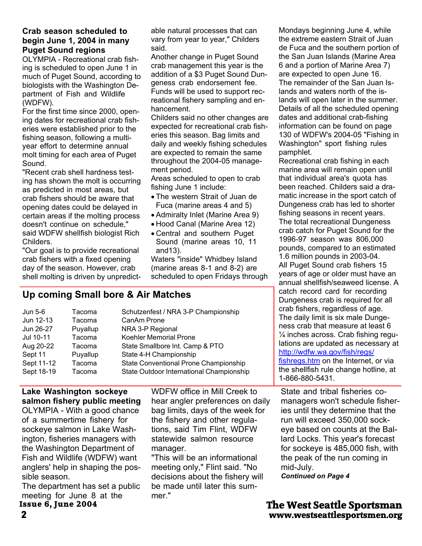#### **Crab season scheduled to begin June 1, 2004 in many Puget Sound regions**

OLYMPIA - Recreational crab fish ing is scheduled to open June 1 in much of Puget Sound, according to biologists with the Washington De partment of Fish and Wildlife (WDFW).

For the first time since 2000, open ing dates for recreational crab fish eries were established prior to the fishing season, following a multi year effort to determine annual molt timing for each area of Puget Sound.

"Recent crab shell hardness test ing has shown the molt is occurring as predicted in most areas, but crab fishers should be aware that opening dates could be delayed in certain areas if the molting process doesn't continue on schedule," said WDFW shellfish biologist Rich Childers.

"Our goal is to provide recreational crab fishers with a fixed opening day of the season. However, crab shell molting is driven by unpredict-

able natural processes that can vary from year to year," Childers said.

Another change in Puget Sound crab management this year is the addition of a \$3 Puget Sound Dun geness crab endorsement fee. Funds will be used to support rec reational fishery sampling and en hancement.

Childers said no other changes are expected for recreational crab fish eries this season. Bag limits and daily and weekly fishing schedules are expected to remain the same throughout the 2004-05 manage ment period.

Areas scheduled to open to crab fishing June 1 include:

- · The western Strait of Juan de Fuca (marine areas 4 and 5)
- · Admiralty Inlet (Marine Area 9)
- · Hood Canal (Marine Area 12)
- · Central and southern Puget Sound (marine areas 10, 11 and13).

Waters "inside" Whidbey Island (marine areas 8-1 and 8-2) are scheduled to open Fridays through

Mondays beginning June 4, while the extreme eastern Strait of Juan de Fuca and the southern portion of the San Juan Islands (Marine Area 6 and a portion of Marine Area 7) are expected to open June 16. The remainder of the San Juan Is lands and waters north of the is lands will open later in the summer. Details of all the scheduled opening dates and additional crab-fishing information can be found on page 130 of WDFW's 2004-05 "Fishing in Washington" sport fishing rules pamphlet.

Recreational crab fishing in each marine area will remain open until that individual area's quota has been reached. Childers said a dra matic increase in the sport catch of Dungeness crab has led to shorter fishing seasons in recent years. The total recreational Dungeness crab catch for Puget Sound for the 1996-97 season was 806,000 pounds, compared to an estimated 1.6 million pounds in 2003-04. All Puget Sound crab fishers 15 years of age or older must have an annual shellfish/seaweed license. A catch record card for recording Dungeness crab is required for all crab fishers, regardless of age. The daily limit is six male Dunge ness crab that measure at least 6 ¼ inches across. Crab fishing regu lations are updated as necessary at http://wdfw.wa.gov/fish/regs/ fishregs.htm on the Internet, or via the shellfish rule change hotline, at 1-866-880-5431.

State and tribal fisheries co managers won't schedule fisher ies until they determine that the run will exceed 350,000 sock eye based on counts at the Bal lard Locks. This year's forecast for sockeye is 485,000 fish, with the peak of the run coming in mid-July.

*Continued on Page 4*

**2 www.westseattlesportsmen.org The West Seattle Sportsman**

# **Up coming Small bore & Air Matches**

| Jun 5-6    | Tacoma   | Schutzenfest / NRA 3-P Championship      |
|------------|----------|------------------------------------------|
| Jun 12-13  | Tacoma   | CanAm Prone                              |
| Jun 26-27  | Puyallup | NRA 3-P Regional                         |
| Jul 10-11  | Tacoma   | Koehler Memorial Prone                   |
| Aug 20-22  | Tacoma   | State Smallbore Int. Camp & PTO          |
| Sept 11    | Puyallup | State 4-H Championship                   |
| Sept 11-12 | Tacoma   | State Conventional Prone Championship    |
| Sept 18-19 | Tacoma   | State Outdoor International Championship |
|            |          |                                          |

# **Lake Washington sockeye salmon fishery public meeting**

OLYMPIA - With a good chance of a summertime fishery for sockeye salmon in Lake Wash ington, fisheries managers with the Washington Department of Fish and Wildlife (WDFW) want anglers' help in shaping the pos sible season.

The department has set a public meeting for June 8 at the **Issue 6, June 2004**

WDFW office in Mill Creek to hear angler preferences on daily bag limits, days of the week for the fishery and other regula tions, said Tim Flint, WDFW statewide salmon resource manager.

"This will be an informational meeting only," Flint said. "No decisions about the fishery will be made until later this sum mer."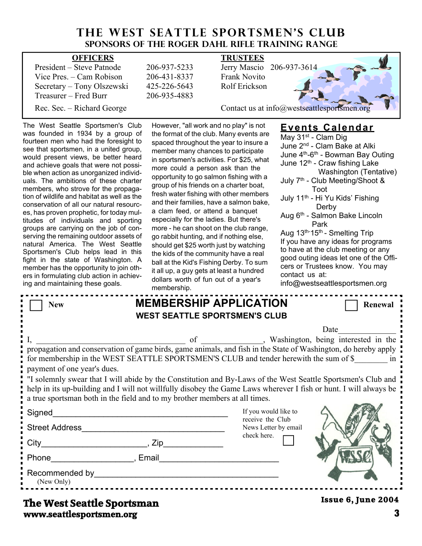# **THE WEST SEATTLE SPORTSMEN'S CLUB Sponsors of the Roger Dahl Rifle Training Range**

| <b>OFFICERS</b>            |              | <b>TRUSTEES</b>                             |
|----------------------------|--------------|---------------------------------------------|
| President – Steve Patnode  | 206-937-5233 | Jerry Mascio 206-937-3614                   |
| Vice Pres. – Cam Robison   | 206-431-8337 | <b>Frank Novito</b>                         |
| Secretary – Tony Olszewski | 425-226-5643 | Rolf Erickson                               |
| Treasurer – Fred Burr      | 206-935-4883 |                                             |
| Rec. Sec. – Richard George |              | Contact us at info@westseattlesportsmen.org |

The West Seattle Sportsmen's Club was founded in 1934 by a group of fourteen men who had the foresight to see that sportsmen, in a united group, would present views, be better heard and achieve goals that were not possi ble when action as unorganized individ uals. The ambitions of these charter members, who strove for the propaga tion of wildlife and habitat as well as the conservation of all our natural resourc es, has proven prophetic, for today mul titudes of individuals and sporting groups are carrying on the job of con serving the remaining outdoor assets of natural America. The West Seattle Sportsmen's Club helps lead in this fight in the state of Washington. A member has the opportunity to join oth ers in formulating club action in achiev ing and maintaining these goals.

However, "all work and no play" is not the format of the club. Many events are spaced throughout the year to insure a member many chances to participate in sportsmen's activities. For \$25, what more could a person ask than the opportunity to go salmon fishing with a group of his friends on a charter boat, fresh water fishing with other members and their families, have a salmon bake, a clam feed, or attend a banquet especially for the ladies. But there's more - he can shoot on the club range, go rabbit hunting, and if nothing else, should get \$25 worth just by watching the kids of the community have a real ball at the Kid's Fishing Derby. To sum it all up, a guy gets at least a hundred dollars worth of fun out of a year's membership.

## **Events Calendar**

May 31<sup>st</sup> - Clam Dig June 2nd - Clam Bake at Alki June 4th-6th - Bowman Bay Outing June 12<sup>th</sup> - Craw fishing Lake Washington (Tentative) July 7<sup>th</sup> - Club Meeting/Shoot & Toot July 11th - Hi Yu Kids' Fishing Derby Aug 6th - Salmon Bake Lincoln **Park** Aug 13<sup>th-</sup>15<sup>th</sup> - Smelting Trip If you have any ideas for programs to have at the club meeting or any good outing ideas let one of the Offi cers or Trustees know. You may contact us at: info@westseattlesportsmen.org **New MEMBERSHIP APPLICATION** Renewal

| <b>WEST SEATTLE SPORTSMEN'S CLUB</b>                                                                                                                                                                                                                                                                                                                                                                                                              |                                          |
|---------------------------------------------------------------------------------------------------------------------------------------------------------------------------------------------------------------------------------------------------------------------------------------------------------------------------------------------------------------------------------------------------------------------------------------------------|------------------------------------------|
|                                                                                                                                                                                                                                                                                                                                                                                                                                                   | Date                                     |
| for membership in the WEST SEATTLE SPORTSMEN'S CLUB and tender herewith the sum of \$ in<br>payment of one year's dues.<br>If yell in Solemnly swear that I will abide by the Constitution and By-Laws of the West Seattle Sportsmen's Club and<br>help in its up-building and I will not willfully disobey the Game Laws wherever I fish or hunt. I will always be<br>a true sportsman both in the field and to my brother members at all times. |                                          |
| Signed                                                                                                                                                                                                                                                                                                                                                                                                                                            | If you would like to<br>receive the Club |
| <b>Street Address</b>                                                                                                                                                                                                                                                                                                                                                                                                                             | News Letter by email                     |
|                                                                                                                                                                                                                                                                                                                                                                                                                                                   | check here.                              |
| Phone , Email                                                                                                                                                                                                                                                                                                                                                                                                                                     |                                          |
| Recommended by<br>(New Only)<br>___________________________________                                                                                                                                                                                                                                                                                                                                                                               |                                          |
| The West Septtle Spertampn                                                                                                                                                                                                                                                                                                                                                                                                                        | <b>Issue 6, June 2004</b>                |

# **www.seattlesportsmen.org 3 The West Seattle Sportsman**